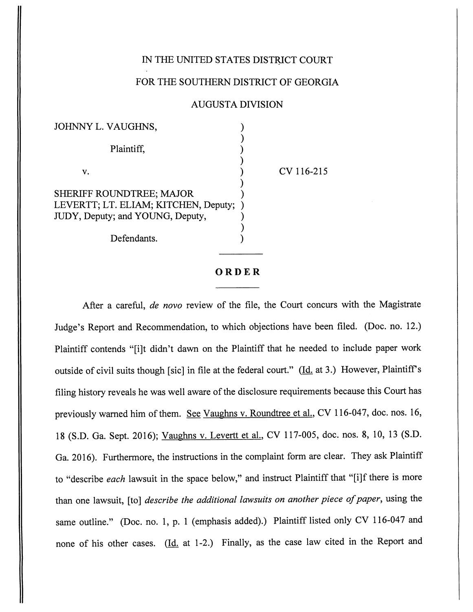## IN THE UNITED STATES DISTRICT COURT

Vaughns van die 19de eeu n.C. 13de eeu n.C. 13de eeu n.C. 13de eeu n.C. 13de eeu n.C. 13de eeu n.C. 13de eeu n

## FOR THE SOUTHERN DISTRICT OF GEORGIA

## AUGUSTA DIVISION

| JOHNNY L. VAUGHNS,                                                       |  |
|--------------------------------------------------------------------------|--|
|                                                                          |  |
| Plaintiff,                                                               |  |
|                                                                          |  |
| V.                                                                       |  |
|                                                                          |  |
| <b>SHERIFF ROUNDTREE; MAJOR</b>                                          |  |
| LEVERTT; LT. ELIAM; KITCHEN, Deputy;<br>JUDY, Deputy; and YOUNG, Deputy, |  |
|                                                                          |  |
| Defendants.                                                              |  |

CV 116-215

## *ORDER*

After a careful, **de novo** review of the file, the Court concurs with the Magistrate Judge's Report and Recommendation, to which objections have been filed. (Doc. no. 12.) Plaintiff contends "[i]t didn't dawn on the Plaintiff that he needed to include paper work outside of civil suits though [sic] in file at the federal court." ( $\underline{Id}$  at 3.) However, Plaintiff's filing history reveals he was well aware of the disclosure requirements because this Court has previously warned him of them. See Vaughns v. Roundtree et al., CV 116-047, doc. nos. 16, 18 (S.D. Ga. Sept. 2016); Vaughns v. Levertt et al. CV 117-005, doc. nos. 8, 10, 13 (S.D. Ga. 2016). Furthermore, the instructions in the complaint form are clear. They ask Plaintiff to "describe **each** lawsuit in the space below," and instruct Plaintiff that "[i]f there is more than one lawsuit, [to] **describe the additional lawsuits on another piece ofpaper,** using the same outline." (Doc. no. 1, p. 1 (emphasis added).) Plaintiff listed only CV 116-047 and none of his other cases.  $(Id. at 1-2.)$  Finally, as the case law cited in the Report and